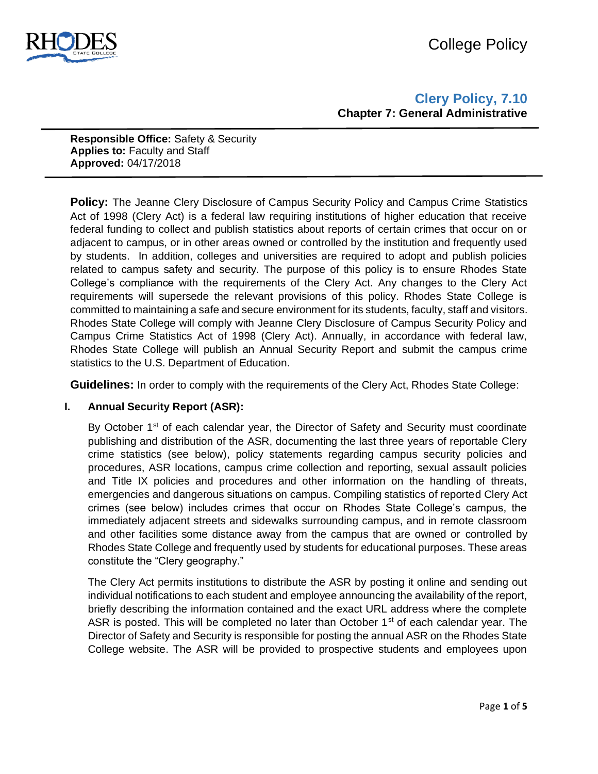

**Clery Policy, 7.10 Chapter 7: General Administrative** 

**Responsible Office:** Safety & Security **Applies to:** Faculty and Staff **Approved:** 04/17/2018

**Policy:** The Jeanne Clery Disclosure of Campus Security Policy and Campus Crime Statistics Act of 1998 (Clery Act) is a federal law requiring institutions of higher education that receive federal funding to collect and publish statistics about reports of certain crimes that occur on or adjacent to campus, or in other areas owned or controlled by the institution and frequently used by students. In addition, colleges and universities are required to adopt and publish policies related to campus safety and security. The purpose of this policy is to ensure Rhodes State College's compliance with the requirements of the Clery Act. Any changes to the Clery Act requirements will supersede the relevant provisions of this policy. Rhodes State College is committed to maintaining a safe and secure environment for its students, faculty, staff and visitors. Rhodes State College will comply with Jeanne Clery Disclosure of Campus Security Policy and Campus Crime Statistics Act of 1998 (Clery Act). Annually, in accordance with federal law, Rhodes State College will publish an Annual Security Report and submit the campus crime statistics to the U.S. Department of Education.

**Guidelines:** In order to comply with the requirements of the Clery Act, Rhodes State College:

# **I. Annual Security Report (ASR):**

By October  $1<sup>st</sup>$  of each calendar year, the Director of Safety and Security must coordinate publishing and distribution of the ASR, documenting the last three years of reportable Clery crime statistics (see below), policy statements regarding campus security policies and procedures, ASR locations, campus crime collection and reporting, sexual assault policies and Title IX policies and procedures and other information on the handling of threats, emergencies and dangerous situations on campus. Compiling statistics of reported Clery Act crimes (see below) includes crimes that occur on Rhodes State College's campus, the immediately adjacent streets and sidewalks surrounding campus, and in remote classroom and other facilities some distance away from the campus that are owned or controlled by Rhodes State College and frequently used by students for educational purposes. These areas constitute the "Clery geography."

The Clery Act permits institutions to distribute the ASR by posting it online and sending out individual notifications to each student and employee announcing the availability of the report, briefly describing the information contained and the exact URL address where the complete ASR is posted. This will be completed no later than October  $1<sup>st</sup>$  of each calendar year. The Director of Safety and Security is responsible for posting the annual ASR on the Rhodes State College website. The ASR will be provided to prospective students and employees upon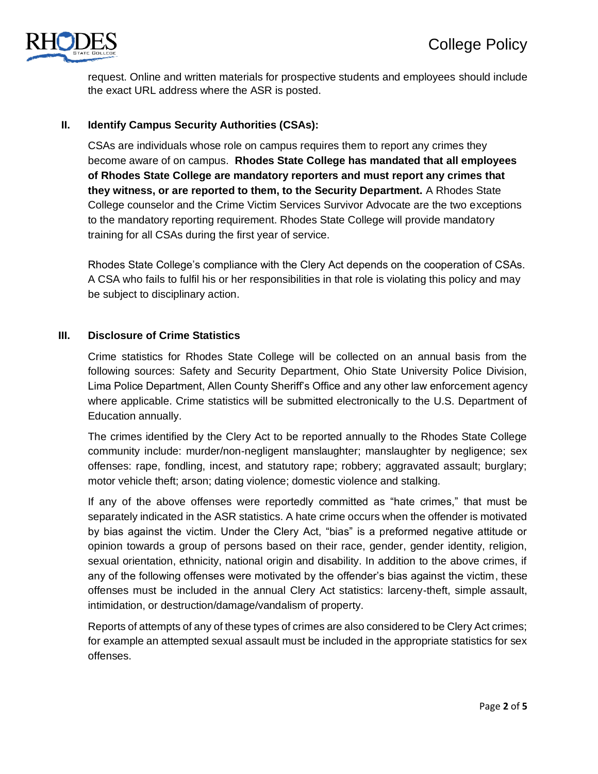

request. Online and written materials for prospective students and employees should include the exact URL address where the ASR is posted.

# **II. Identify Campus Security Authorities (CSAs):**

CSAs are individuals whose role on campus requires them to report any crimes they become aware of on campus. **Rhodes State College has mandated that all employees of Rhodes State College are mandatory reporters and must report any crimes that they witness, or are reported to them, to the Security Department.** A Rhodes State College counselor and the Crime Victim Services Survivor Advocate are the two exceptions to the mandatory reporting requirement. Rhodes State College will provide mandatory training for all CSAs during the first year of service.

Rhodes State College's compliance with the Clery Act depends on the cooperation of CSAs. A CSA who fails to fulfil his or her responsibilities in that role is violating this policy and may be subject to disciplinary action.

# **III. Disclosure of Crime Statistics**

Crime statistics for Rhodes State College will be collected on an annual basis from the following sources: Safety and Security Department, Ohio State University Police Division, Lima Police Department, Allen County Sheriff's Office and any other law enforcement agency where applicable. Crime statistics will be submitted electronically to the U.S. Department of Education annually.

The crimes identified by the Clery Act to be reported annually to the Rhodes State College community include: murder/non-negligent manslaughter; manslaughter by negligence; sex offenses: rape, fondling, incest, and statutory rape; robbery; aggravated assault; burglary; motor vehicle theft; arson; dating violence; domestic violence and stalking.

If any of the above offenses were reportedly committed as "hate crimes," that must be separately indicated in the ASR statistics. A hate crime occurs when the offender is motivated by bias against the victim. Under the Clery Act, "bias" is a preformed negative attitude or opinion towards a group of persons based on their race, gender, gender identity, religion, sexual orientation, ethnicity, national origin and disability. In addition to the above crimes, if any of the following offenses were motivated by the offender's bias against the victim, these offenses must be included in the annual Clery Act statistics: larceny-theft, simple assault, intimidation, or destruction/damage/vandalism of property.

Reports of attempts of any of these types of crimes are also considered to be Clery Act crimes; for example an attempted sexual assault must be included in the appropriate statistics for sex offenses.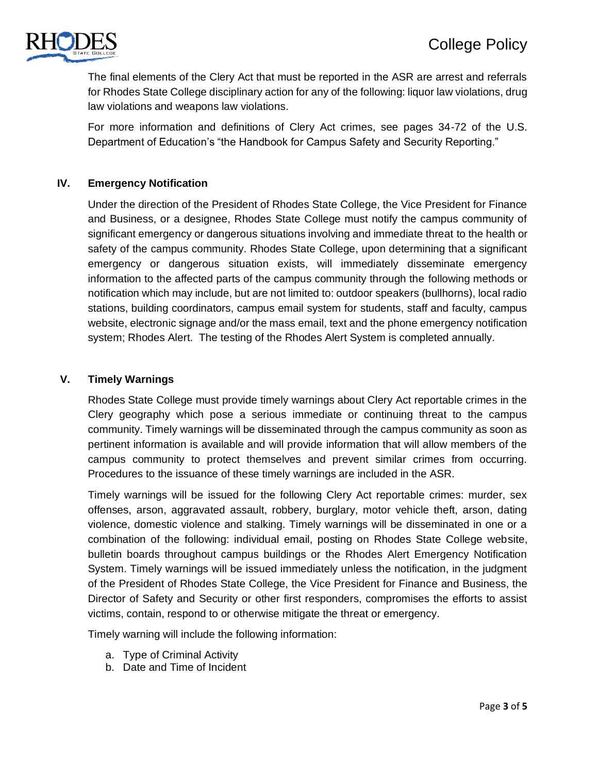

The final elements of the Clery Act that must be reported in the ASR are arrest and referrals for Rhodes State College disciplinary action for any of the following: liquor law violations, drug law violations and weapons law violations.

For more information and definitions of Clery Act crimes, see pages 34-72 of the U.S. Department of Education's "the Handbook for Campus Safety and Security Reporting."

# **IV. Emergency Notification**

Under the direction of the President of Rhodes State College, the Vice President for Finance and Business, or a designee, Rhodes State College must notify the campus community of significant emergency or dangerous situations involving and immediate threat to the health or safety of the campus community. Rhodes State College, upon determining that a significant emergency or dangerous situation exists, will immediately disseminate emergency information to the affected parts of the campus community through the following methods or notification which may include, but are not limited to: outdoor speakers (bullhorns), local radio stations, building coordinators, campus email system for students, staff and faculty, campus website, electronic signage and/or the mass email, text and the phone emergency notification system; Rhodes Alert. The testing of the Rhodes Alert System is completed annually.

## **V. Timely Warnings**

Rhodes State College must provide timely warnings about Clery Act reportable crimes in the Clery geography which pose a serious immediate or continuing threat to the campus community. Timely warnings will be disseminated through the campus community as soon as pertinent information is available and will provide information that will allow members of the campus community to protect themselves and prevent similar crimes from occurring. Procedures to the issuance of these timely warnings are included in the ASR.

Timely warnings will be issued for the following Clery Act reportable crimes: murder, sex offenses, arson, aggravated assault, robbery, burglary, motor vehicle theft, arson, dating violence, domestic violence and stalking. Timely warnings will be disseminated in one or a combination of the following: individual email, posting on Rhodes State College website, bulletin boards throughout campus buildings or the Rhodes Alert Emergency Notification System. Timely warnings will be issued immediately unless the notification, in the judgment of the President of Rhodes State College, the Vice President for Finance and Business, the Director of Safety and Security or other first responders, compromises the efforts to assist victims, contain, respond to or otherwise mitigate the threat or emergency.

Timely warning will include the following information:

- a. Type of Criminal Activity
- b. Date and Time of Incident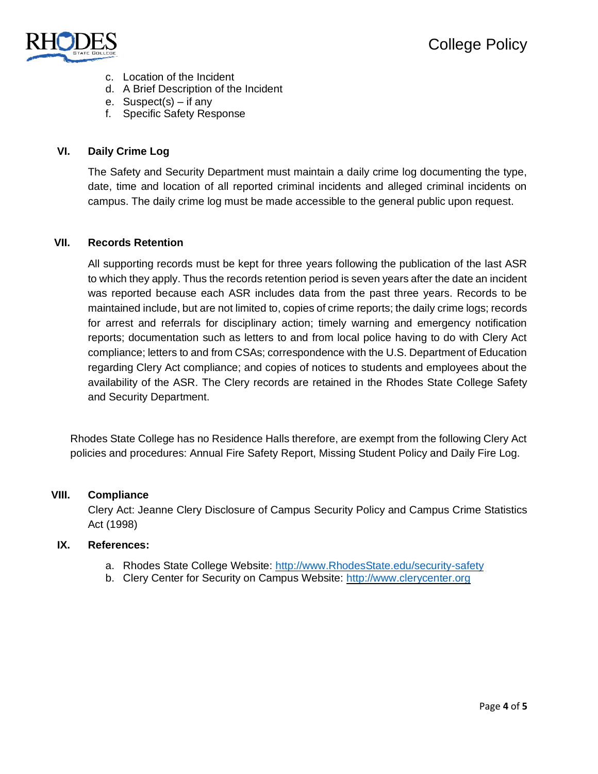

- c. Location of the Incident
- d. A Brief Description of the Incident
- e. Suspect(s) if any
- f. Specific Safety Response

# **VI. Daily Crime Log**

The Safety and Security Department must maintain a daily crime log documenting the type, date, time and location of all reported criminal incidents and alleged criminal incidents on campus. The daily crime log must be made accessible to the general public upon request.

## **VII. Records Retention**

All supporting records must be kept for three years following the publication of the last ASR to which they apply. Thus the records retention period is seven years after the date an incident was reported because each ASR includes data from the past three years. Records to be maintained include, but are not limited to, copies of crime reports; the daily crime logs; records for arrest and referrals for disciplinary action; timely warning and emergency notification reports; documentation such as letters to and from local police having to do with Clery Act compliance; letters to and from CSAs; correspondence with the U.S. Department of Education regarding Clery Act compliance; and copies of notices to students and employees about the availability of the ASR. The Clery records are retained in the Rhodes State College Safety and Security Department.

Rhodes State College has no Residence Halls therefore, are exempt from the following Clery Act policies and procedures: Annual Fire Safety Report, Missing Student Policy and Daily Fire Log.

### **VIII. Compliance**

Clery Act: Jeanne Clery Disclosure of Campus Security Policy and Campus Crime Statistics Act (1998)

### **IX. References:**

- a. Rhodes State College Website: http://www.RhodesState.edu/security-safety
- b. Clery Center for Security on Campus Website: http://www.clerycenter.org